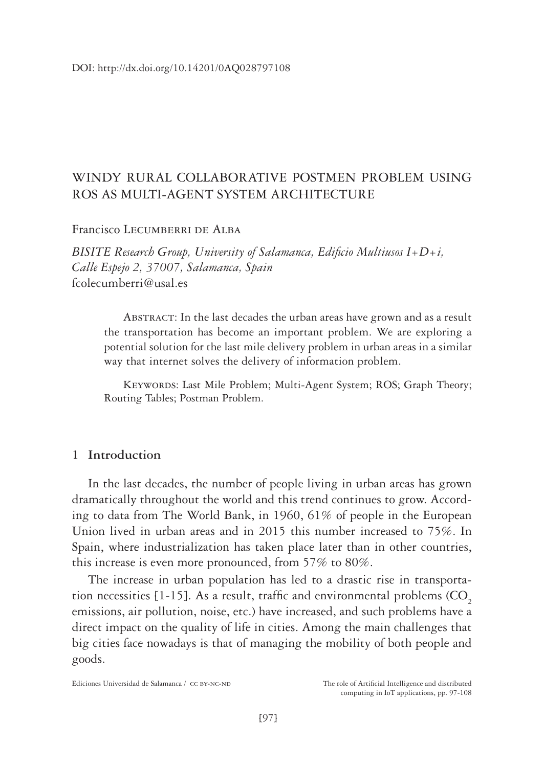## WINDY RURAL COLLABORATIVE POSTMEN PROBLEM USING ROS AS MULTI-AGENT SYSTEM ARCHITECTURE

Francisco Lecumberri de Alba

*BISITE Research Group, University of Salamanca, Edificio Multiusos I+D+i, Calle Espejo 2, 37007, Salamanca, Spain* fcolecumberri@usal.es

ABSTRACT: In the last decades the urban areas have grown and as a result the transportation has become an important problem. We are exploring a potential solution for the last mile delivery problem in urban areas in a similar way that internet solves the delivery of information problem.

KEYWORDS: Last Mile Problem; Multi-Agent System; ROS; Graph Theory; Routing Tables; Postman Problem.

## **1 Introduction**

In the last decades, the number of people living in urban areas has grown dramatically throughout the world and this trend continues to grow. According to data from The World Bank, in 1960, 61% of people in the European Union lived in urban areas and in 2015 this number increased to 75%. In Spain, where industrialization has taken place later than in other countries, this increase is even more pronounced, from 57% to 80%.

The increase in urban population has led to a drastic rise in transportation necessities  $[1-15]$ . As a result, traffic and environmental problems  $(CO<sub>2</sub>)$ emissions, air pollution, noise, etc.) have increased, and such problems have a direct impact on the quality of life in cities. Among the main challenges that big cities face nowadays is that of managing the mobility of both people and goods.

Ediciones Universidad de Salamanca / CC BY-NC-ND The role of Artificial Intelligence and distributed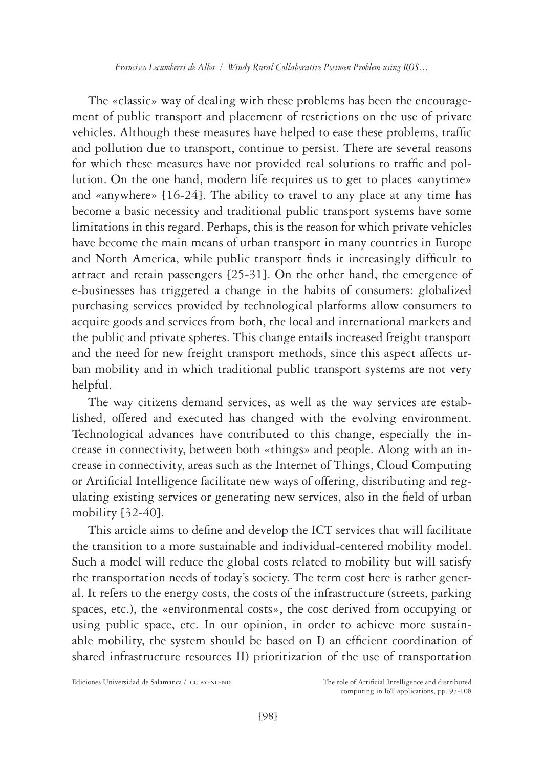*Francisco Lecumberri de Alba / Windy Rural Collaborative Postmen Problem using ROS…*

The «classic» way of dealing with these problems has been the encouragement of public transport and placement of restrictions on the use of private vehicles. Although these measures have helped to ease these problems, traffic and pollution due to transport, continue to persist. There are several reasons for which these measures have not provided real solutions to traffic and pollution. On the one hand, modern life requires us to get to places «anytime» and «anywhere» [16-24]. The ability to travel to any place at any time has become a basic necessity and traditional public transport systems have some limitations in this regard. Perhaps, this is the reason for which private vehicles have become the main means of urban transport in many countries in Europe and North America, while public transport finds it increasingly difficult to attract and retain passengers [25-31]. On the other hand, the emergence of e-businesses has triggered a change in the habits of consumers: globalized purchasing services provided by technological platforms allow consumers to acquire goods and services from both, the local and international markets and the public and private spheres. This change entails increased freight transport and the need for new freight transport methods, since this aspect affects urban mobility and in which traditional public transport systems are not very helpful.

The way citizens demand services, as well as the way services are established, offered and executed has changed with the evolving environment. Technological advances have contributed to this change, especially the increase in connectivity, between both «things» and people. Along with an increase in connectivity, areas such as the Internet of Things, Cloud Computing or Artificial Intelligence facilitate new ways of offering, distributing and regulating existing services or generating new services, also in the field of urban mobility [32-40].

This article aims to define and develop the ICT services that will facilitate the transition to a more sustainable and individual-centered mobility model. Such a model will reduce the global costs related to mobility but will satisfy the transportation needs of today's society. The term cost here is rather general. It refers to the energy costs, the costs of the infrastructure (streets, parking spaces, etc.), the «environmental costs», the cost derived from occupying or using public space, etc. In our opinion, in order to achieve more sustainable mobility, the system should be based on I) an efficient coordination of shared infrastructure resources II) prioritization of the use of transportation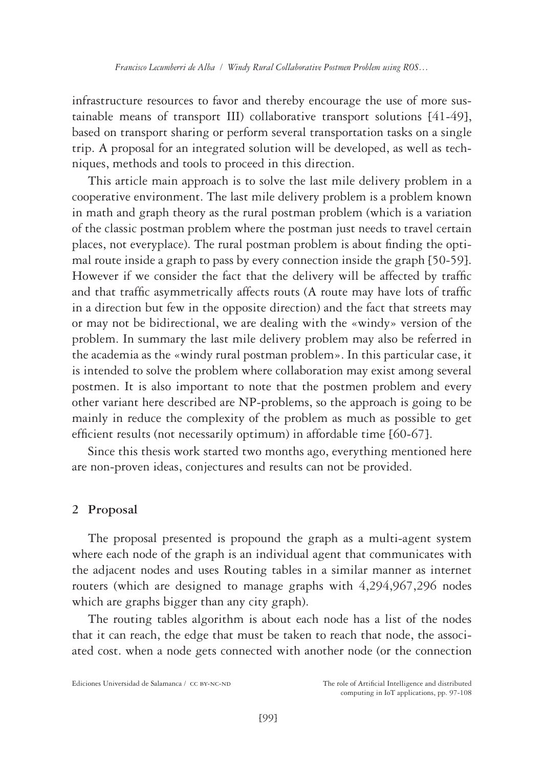infrastructure resources to favor and thereby encourage the use of more sustainable means of transport III) collaborative transport solutions [41-49], based on transport sharing or perform several transportation tasks on a single trip. A proposal for an integrated solution will be developed, as well as techniques, methods and tools to proceed in this direction.

This article main approach is to solve the last mile delivery problem in a cooperative environment. The last mile delivery problem is a problem known in math and graph theory as the rural postman problem (which is a variation of the classic postman problem where the postman just needs to travel certain places, not everyplace). The rural postman problem is about finding the optimal route inside a graph to pass by every connection inside the graph [50-59]. However if we consider the fact that the delivery will be affected by traffic and that traffic asymmetrically affects routs (A route may have lots of traffic in a direction but few in the opposite direction) and the fact that streets may or may not be bidirectional, we are dealing with the «windy» version of the problem. In summary the last mile delivery problem may also be referred in the academia as the «windy rural postman problem». In this particular case, it is intended to solve the problem where collaboration may exist among several postmen. It is also important to note that the postmen problem and every other variant here described are NP-problems, so the approach is going to be mainly in reduce the complexity of the problem as much as possible to get efficient results (not necessarily optimum) in affordable time [60-67].

Since this thesis work started two months ago, everything mentioned here are non-proven ideas, conjectures and results can not be provided.

## **2 Proposal**

The proposal presented is propound the graph as a multi-agent system where each node of the graph is an individual agent that communicates with the adjacent nodes and uses Routing tables in a similar manner as internet routers (which are designed to manage graphs with 4,294,967,296 nodes which are graphs bigger than any city graph).

The routing tables algorithm is about each node has a list of the nodes that it can reach, the edge that must be taken to reach that node, the associated cost. when a node gets connected with another node (or the connection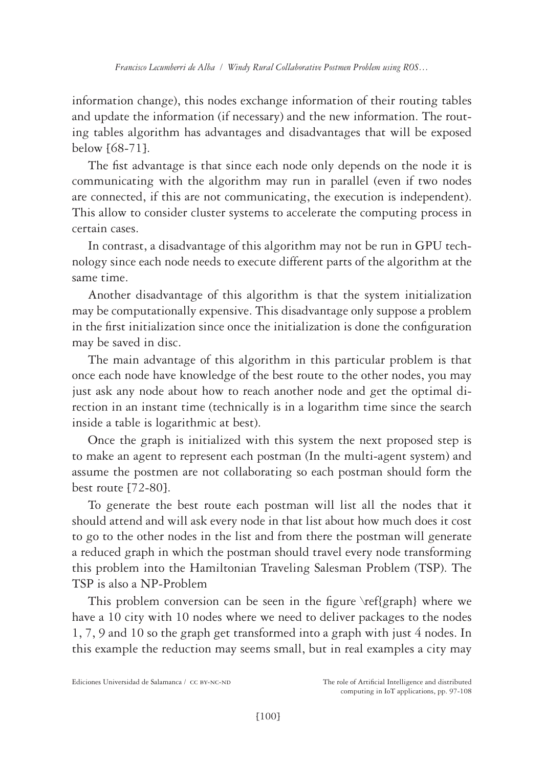information change), this nodes exchange information of their routing tables and update the information (if necessary) and the new information. The routing tables algorithm has advantages and disadvantages that will be exposed below [68-71].

The fist advantage is that since each node only depends on the node it is communicating with the algorithm may run in parallel (even if two nodes are connected, if this are not communicating, the execution is independent). This allow to consider cluster systems to accelerate the computing process in certain cases.

In contrast, a disadvantage of this algorithm may not be run in GPU technology since each node needs to execute different parts of the algorithm at the same time.

Another disadvantage of this algorithm is that the system initialization may be computationally expensive. This disadvantage only suppose a problem in the first initialization since once the initialization is done the configuration may be saved in disc.

The main advantage of this algorithm in this particular problem is that once each node have knowledge of the best route to the other nodes, you may just ask any node about how to reach another node and get the optimal direction in an instant time (technically is in a logarithm time since the search inside a table is logarithmic at best).

Once the graph is initialized with this system the next proposed step is to make an agent to represent each postman (In the multi-agent system) and assume the postmen are not collaborating so each postman should form the best route [72-80].

To generate the best route each postman will list all the nodes that it should attend and will ask every node in that list about how much does it cost to go to the other nodes in the list and from there the postman will generate a reduced graph in which the postman should travel every node transforming this problem into the Hamiltonian Traveling Salesman Problem (TSP). The TSP is also a NP-Problem

This problem conversion can be seen in the figure \ref{graph} where we have a 10 city with 10 nodes where we need to deliver packages to the nodes 1, 7, 9 and 10 so the graph get transformed into a graph with just 4 nodes. In this example the reduction may seems small, but in real examples a city may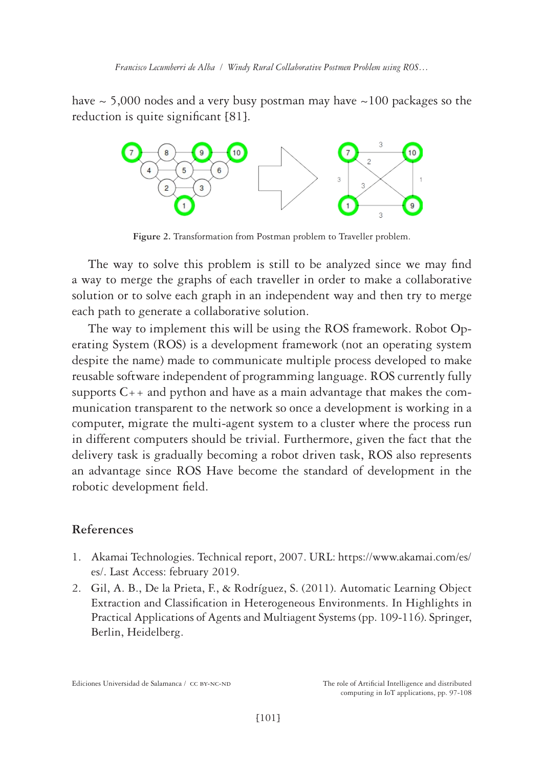have  $\sim$  5,000 nodes and a very busy postman may have  $\sim$  100 packages so the reduction is quite significant [81].



**Figure 2.** Transformation from Postman problem to Traveller problem.

The way to solve this problem is still to be analyzed since we may find a way to merge the graphs of each traveller in order to make a collaborative solution or to solve each graph in an independent way and then try to merge each path to generate a collaborative solution.

The way to implement this will be using the ROS framework. Robot Operating System (ROS) is a development framework (not an operating system despite the name) made to communicate multiple process developed to make reusable software independent of programming language. ROS currently fully supports  $C_{++}$  and python and have as a main advantage that makes the communication transparent to the network so once a development is working in a computer, migrate the multi-agent system to a cluster where the process run in different computers should be trivial. Furthermore, given the fact that the delivery task is gradually becoming a robot driven task, ROS also represents an advantage since ROS Have become the standard of development in the robotic development field.

## **References**

- 1. Akamai Technologies. Technical report, 2007. URL: [https://www.akamai.com/es/](https://www.akamai.com/es/es/) [es/.](https://www.akamai.com/es/es/) Last Access: february 2019.
- 2. Gil, A. B., De la Prieta, F., & Rodríguez, S. (2011). Automatic Learning Object Extraction and Classification in Heterogeneous Environments. In Highlights in Practical Applications of Agents and Multiagent Systems (pp. 109-116). Springer, Berlin, Heidelberg.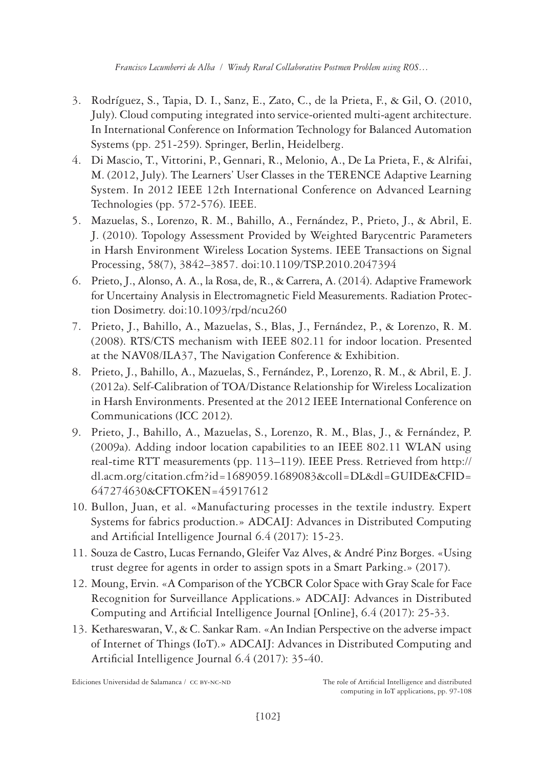- 3. Rodríguez, S., Tapia, D. I., Sanz, E., Zato, C., de la Prieta, F., & Gil, O. (2010, July). Cloud computing integrated into service-oriented multi-agent architecture. In International Conference on Information Technology for Balanced Automation Systems (pp. 251-259). Springer, Berlin, Heidelberg.
- 4. Di Mascio, T., Vittorini, P., Gennari, R., Melonio, A., De La Prieta, F., & Alrifai, M. (2012, July). The Learners' User Classes in the TERENCE Adaptive Learning System. In 2012 IEEE 12th International Conference on Advanced Learning Technologies (pp. 572-576). IEEE.
- 5. Mazuelas, S., Lorenzo, R. M., Bahillo, A., Fernández, P., Prieto, J., & Abril, E. J. (2010). Topology Assessment Provided by Weighted Barycentric Parameters in Harsh Environment Wireless Location Systems. IEEE Transactions on Signal Processing, 58(7), 3842–3857. doi:10.1109/TSP.2010.2047394
- 6. Prieto, J., Alonso, A. A., la Rosa, de, R., & Carrera, A. (2014). Adaptive Framework for Uncertainy Analysis in Electromagnetic Field Measurements. Radiation Protection Dosimetry. doi:10.1093/rpd/ncu260
- 7. Prieto, J., Bahillo, A., Mazuelas, S., Blas, J., Fernández, P., & Lorenzo, R. M. (2008). RTS/CTS mechanism with IEEE 802.11 for indoor location. Presented at the NAV08/ILA37, The Navigation Conference & Exhibition.
- 8. Prieto, J., Bahillo, A., Mazuelas, S., Fernández, P., Lorenzo, R. M., & Abril, E. J. (2012a). Self-Calibration of TOA/Distance Relationship for Wireless Localization in Harsh Environments. Presented at the 2012 IEEE International Conference on Communications (ICC 2012).
- 9. Prieto, J., Bahillo, A., Mazuelas, S., Lorenzo, R. M., Blas, J., & Fernández, P. (2009a). Adding indoor location capabilities to an IEEE 802.11 WLAN using real-time RTT measurements (pp. 113–119). IEEE Press. Retrieved from [http://](http://dl.acm.org/citation.cfm?id=1689059.1689083&coll=DL&dl=GUIDE&CFID=647274630&CFTOKEN=45917612) [dl.acm.org/citation.cfm?id=1689059.1689083&coll=DL&dl=GUIDE&CFID=](http://dl.acm.org/citation.cfm?id=1689059.1689083&coll=DL&dl=GUIDE&CFID=647274630&CFTOKEN=45917612) [647274630&CFTOKEN=45917612](http://dl.acm.org/citation.cfm?id=1689059.1689083&coll=DL&dl=GUIDE&CFID=647274630&CFTOKEN=45917612)
- 10. Bullon, Juan, et al. «Manufacturing processes in the textile industry. Expert Systems for fabrics production.» ADCAIJ: Advances in Distributed Computing and Artificial Intelligence Journal 6.4 (2017): 15-23.
- 11. Souza de Castro, Lucas Fernando, Gleifer Vaz Alves, & André Pinz Borges. «Using trust degree for agents in order to assign spots in a Smart Parking.» (2017).
- 12. Moung, Ervin. «A Comparison of the YCBCR Color Space with Gray Scale for Face Recognition for Surveillance Applications.» ADCAIJ: Advances in Distributed Computing and Artificial Intelligence Journal [Online], 6.4 (2017): 25-33.
- 13. Kethareswaran, V., & C. Sankar Ram. «An Indian Perspective on the adverse impact of Internet of Things (IoT).» ADCAIJ: Advances in Distributed Computing and Artificial Intelligence Journal 6.4 (2017): 35-40.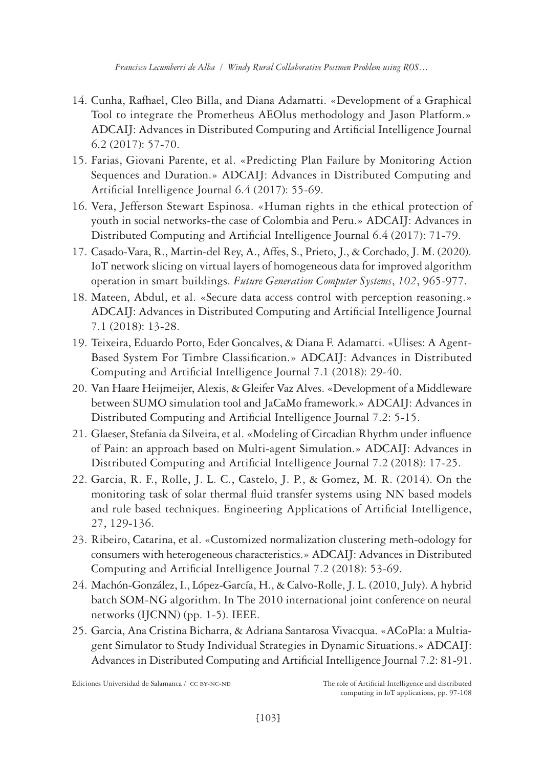- 14. Cunha, Rafhael, Cleo Billa, and Diana Adamatti. «Development of a Graphical Tool to integrate the Prometheus AEOlus methodology and Jason Platform.» ADCAIJ: Advances in Distributed Computing and Artificial Intelligence Journal 6.2 (2017): 57-70.
- 15. Farias, Giovani Parente, et al. «Predicting Plan Failure by Monitoring Action Sequences and Duration.» ADCAIJ: Advances in Distributed Computing and Artificial Intelligence Journal 6.4 (2017): 55-69.
- 16. Vera, Jefferson Stewart Espinosa. «Human rights in the ethical protection of youth in social networks-the case of Colombia and Peru.» ADCAIJ: Advances in Distributed Computing and Artificial Intelligence Journal 6.4 (2017): 71-79.
- 17. Casado-Vara, R., Martin-del Rey, A., Affes, S., Prieto, J., & Corchado, J. M. (2020). IoT network slicing on virtual layers of homogeneous data for improved algorithm operation in smart buildings. *Future Generation Computer Systems*, *102*, 965-977.
- 18. Mateen, Abdul, et al. «Secure data access control with perception reasoning.» ADCAIJ: Advances in Distributed Computing and Artificial Intelligence Journal 7.1 (2018): 13-28.
- 19. Teixeira, Eduardo Porto, Eder Goncalves, & Diana F. Adamatti. «Ulises: A Agent-Based System For Timbre Classification.» ADCAIJ: Advances in Distributed Computing and Artificial Intelligence Journal 7.1 (2018): 29-40.
- 20. Van Haare Heijmeijer, Alexis, & Gleifer Vaz Alves. «Development of a Middleware between SUMO simulation tool and JaCaMo framework.» ADCAIJ: Advances in Distributed Computing and Artificial Intelligence Journal 7.2: 5-15.
- 21. Glaeser, Stefania da Silveira, et al. «Modeling of Circadian Rhythm under influence of Pain: an approach based on Multi-agent Simulation.» ADCAIJ: Advances in Distributed Computing and Artificial Intelligence Journal 7.2 (2018): 17-25.
- 22. Garcia, R. F., Rolle, J. L. C., Castelo, J. P., & Gomez, M. R. (2014). On the monitoring task of solar thermal fluid transfer systems using NN based models and rule based techniques. Engineering Applications of Artificial Intelligence, 27, 129-136.
- 23. Ribeiro, Catarina, et al. «Customized normalization clustering meth-odology for consumers with heterogeneous characteristics.» ADCAIJ: Advances in Distributed Computing and Artificial Intelligence Journal 7.2 (2018): 53-69.
- 24. Machón-González, I., López-García, H., & Calvo-Rolle, J. L. (2010, July). A hybrid batch SOM-NG algorithm. In The 2010 international joint conference on neural networks (IJCNN) (pp. 1-5). IEEE.
- 25. Garcia, Ana Cristina Bicharra, & Adriana Santarosa Vivacqua. «ACoPla: a Multiagent Simulator to Study Individual Strategies in Dynamic Situations.» ADCAIJ: Advances in Distributed Computing and Artificial Intelligence Journal 7.2: 81-91.

Ediciones Universidad de Salamanca / CC BY-NC-ND The role of Artificial Intelligence and distributed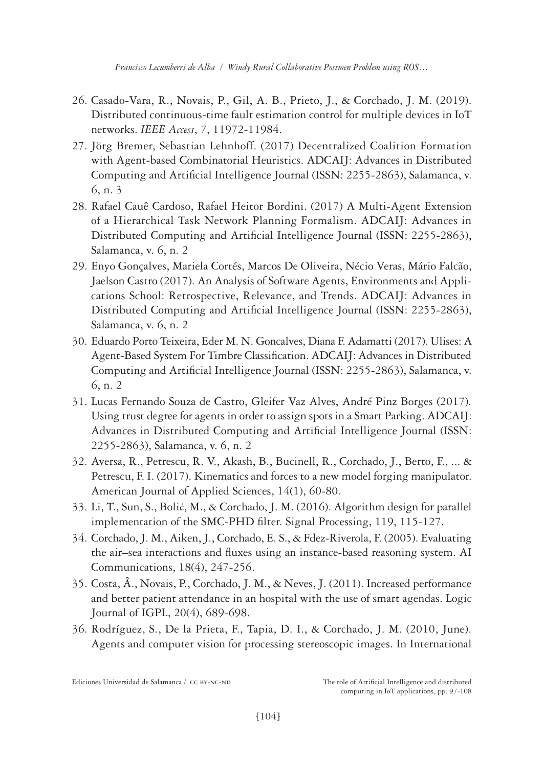- 26. Casado-Vara, R., Novais, P., Gil, A. B., Prieto, J., & Corchado, J. M. (2019). Distributed continuous-time fault estimation control for multiple devices in IoT networks. *IEEE Access*, *7*, 11972-11984.
- 27. Jörg Bremer, Sebastian Lehnhoff. (2017) Decentralized Coalition Formation with Agent-based Combinatorial Heuristics. ADCAIJ: Advances in Distributed Computing and Artificial Intelligence Journal (ISSN: 2255-2863), Salamanca, v. 6, n. 3
- 28. Rafael Cauê Cardoso, Rafael Heitor Bordini. (2017) A Multi-Agent Extension of a Hierarchical Task Network Planning Formalism. ADCAIJ: Advances in Distributed Computing and Artificial Intelligence Journal (ISSN: 2255-2863), Salamanca, v. 6, n. 2
- 29. Enyo Gonçalves, Mariela Cortés, Marcos De Oliveira, Nécio Veras, Mário Falcão, Jaelson Castro (2017). An Analysis of Software Agents, Environments and Applications School: Retrospective, Relevance, and Trends. ADCAIJ: Advances in Distributed Computing and Artificial Intelligence Journal (ISSN: 2255-2863), Salamanca, v. 6, n. 2
- 30. Eduardo Porto Teixeira, Eder M. N. Goncalves, Diana F. Adamatti (2017). Ulises: A Agent-Based System For Timbre Classification. ADCAIJ: Advances in Distributed Computing and Artificial Intelligence Journal (ISSN: 2255-2863), Salamanca, v. 6, n. 2
- 31. Lucas Fernando Souza de Castro, Gleifer Vaz Alves, André Pinz Borges (2017). Using trust degree for agents in order to assign spots in a Smart Parking. ADCAIJ: Advances in Distributed Computing and Artificial Intelligence Journal (ISSN: 2255-2863), Salamanca, v. 6, n. 2
- 32. Aversa, R., Petrescu, R. V., Akash, B., Bucinell, R., Corchado, J., Berto, F., ... & Petrescu, F. I. (2017). Kinematics and forces to a new model forging manipulator. American Journal of Applied Sciences, 14(1), 60-80.
- 33. Li, T., Sun, S., Bolić, M., & Corchado, J. M. (2016). Algorithm design for parallel implementation of the SMC-PHD filter. Signal Processing, 119, 115-127.
- 34. Corchado, J. M., Aiken, J., Corchado, E. S., & Fdez-Riverola, F. (2005). Evaluating the air–sea interactions and fluxes using an instance-based reasoning system. AI Communications, 18(4), 247-256.
- 35. Costa, Â., Novais, P., Corchado, J. M., & Neves, J. (2011). Increased performance and better patient attendance in an hospital with the use of smart agendas. Logic Journal of IGPL, 20(4), 689-698.
- 36. Rodríguez, S., De la Prieta, F., Tapia, D. I., & Corchado, J. M. (2010, June). Agents and computer vision for processing stereoscopic images. In International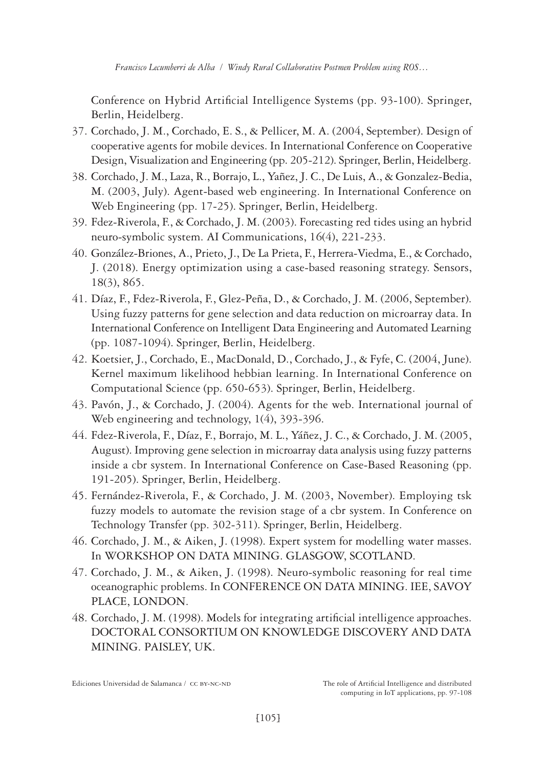Conference on Hybrid Artificial Intelligence Systems (pp. 93-100). Springer, Berlin, Heidelberg.

- 37. Corchado, J. M., Corchado, E. S., & Pellicer, M. A. (2004, September). Design of cooperative agents for mobile devices. In International Conference on Cooperative Design, Visualization and Engineering (pp. 205-212). Springer, Berlin, Heidelberg.
- 38. Corchado, J. M., Laza, R., Borrajo, L., Yañez, J. C., De Luis, A., & Gonzalez-Bedia, M. (2003, July). Agent-based web engineering. In International Conference on Web Engineering (pp. 17-25). Springer, Berlin, Heidelberg.
- 39. Fdez‐Riverola, F., & Corchado, J. M. (2003). Forecasting red tides using an hybrid neuro‐symbolic system. AI Communications, 16(4), 221-233.
- 40. González-Briones, A., Prieto, J., De La Prieta, F., Herrera-Viedma, E., & Corchado, J. (2018). Energy optimization using a case-based reasoning strategy. Sensors, 18(3), 865.
- 41. Díaz, F., Fdez-Riverola, F., Glez-Peña, D., & Corchado, J. M. (2006, September). Using fuzzy patterns for gene selection and data reduction on microarray data. In International Conference on Intelligent Data Engineering and Automated Learning (pp. 1087-1094). Springer, Berlin, Heidelberg.
- 42. Koetsier, J., Corchado, E., MacDonald, D., Corchado, J., & Fyfe, C. (2004, June). Kernel maximum likelihood hebbian learning. In International Conference on Computational Science (pp. 650-653). Springer, Berlin, Heidelberg.
- 43. Pavón, J., & Corchado, J. (2004). Agents for the web. International journal of Web engineering and technology, 1(4), 393-396.
- 44. Fdez-Riverola, F., Díaz, F., Borrajo, M. L., Yáñez, J. C., & Corchado, J. M. (2005, August). Improving gene selection in microarray data analysis using fuzzy patterns inside a cbr system. In International Conference on Case-Based Reasoning (pp. 191-205). Springer, Berlin, Heidelberg.
- 45. Fernández-Riverola, F., & Corchado, J. M. (2003, November). Employing tsk fuzzy models to automate the revision stage of a cbr system. In Conference on Technology Transfer (pp. 302-311). Springer, Berlin, Heidelberg.
- 46. Corchado, J. M., & Aiken, J. (1998). Expert system for modelling water masses. In WORKSHOP ON DATA MINING. GLASGOW, SCOTLAND.
- 47. Corchado, J. M., & Aiken, J. (1998). Neuro-symbolic reasoning for real time oceanographic problems. In CONFERENCE ON DATA MINING. IEE, SAVOY PLACE, LONDON.
- 48. Corchado, J. M. (1998). Models for integrating artificial intelligence approaches. DOCTORAL CONSORTIUM ON KNOWLEDGE DISCOVERY AND DATA MINING. PAISLEY, UK.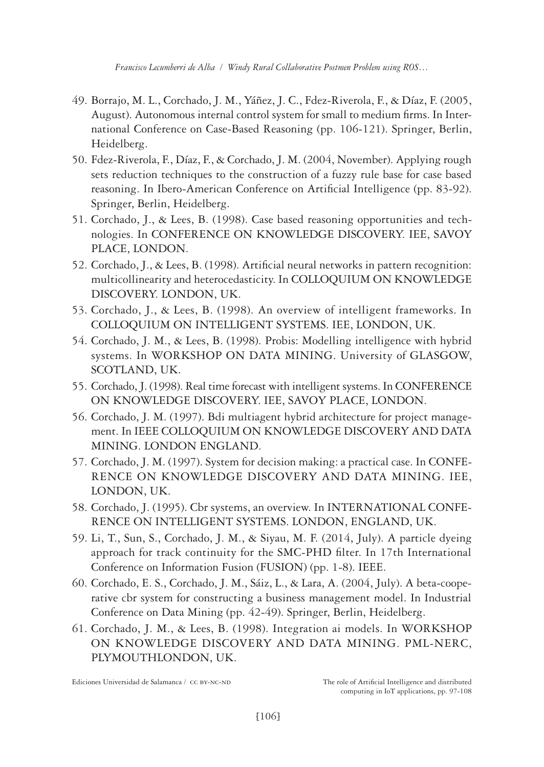- 49. Borrajo, M. L., Corchado, J. M., Yáñez, J. C., Fdez-Riverola, F., & Díaz, F. (2005, August). Autonomous internal control system for small to medium firms. In International Conference on Case-Based Reasoning (pp. 106-121). Springer, Berlin, Heidelberg.
- 50. Fdez-Riverola, F., Díaz, F., & Corchado, J. M. (2004, November). Applying rough sets reduction techniques to the construction of a fuzzy rule base for case based reasoning. In Ibero-American Conference on Artificial Intelligence (pp. 83-92). Springer, Berlin, Heidelberg.
- 51. Corchado, J., & Lees, B. (1998). Case based reasoning opportunities and technologies. In CONFERENCE ON KNOWLEDGE DISCOVERY. IEE, SAVOY PLACE, LONDON.
- 52. Corchado, J., & Lees, B. (1998). Artificial neural networks in pattern recognition: multicollinearity and heterocedasticity. In COLLOQUIUM ON KNOWLEDGE DISCOVERY. LONDON, UK.
- 53. Corchado, J., & Lees, B. (1998). An overview of intelligent frameworks. In COLLOQUIUM ON INTELLIGENT SYSTEMS. IEE, LONDON, UK.
- 54. Corchado, J. M., & Lees, B. (1998). Probis: Modelling intelligence with hybrid systems. In WORKSHOP ON DATA MINING. University of GLASGOW, SCOTLAND, UK.
- 55. Corchado, J. (1998). Real time forecast with intelligent systems. In CONFERENCE ON KNOWLEDGE DISCOVERY. IEE, SAVOY PLACE, LONDON.
- 56. Corchado, J. M. (1997). Bdi multiagent hybrid architecture for project management. In IEEE COLLOQUIUM ON KNOWLEDGE DISCOVERY AND DATA MINING. LONDON ENGLAND.
- 57. Corchado, J. M. (1997). System for decision making: a practical case. In CONFE-RENCE ON KNOWLEDGE DISCOVERY AND DATA MINING. IEE, LONDON, UK.
- 58. Corchado, J. (1995). Cbr systems, an overview. In INTERNATIONAL CONFE-RENCE ON INTELLIGENT SYSTEMS. LONDON, ENGLAND, UK.
- 59. Li, T., Sun, S., Corchado, J. M., & Siyau, M. F. (2014, July). A particle dyeing approach for track continuity for the SMC-PHD filter. In 17th International Conference on Information Fusion (FUSION) (pp. 1-8). IEEE.
- 60. Corchado, E. S., Corchado, J. M., Sáiz, L., & Lara, A. (2004, July). A beta-cooperative cbr system for constructing a business management model. In Industrial Conference on Data Mining (pp. 42-49). Springer, Berlin, Heidelberg.
- 61. Corchado, J. M., & Lees, B. (1998). Integration ai models. In WORKSHOP ON KNOWLEDGE DISCOVERY AND DATA MINING. PML-NERC, PLYMOUTHLONDON, UK.

Ediciones Universidad de Salamanca / CC BY-NC-ND The role of Artificial Intelligence and distributed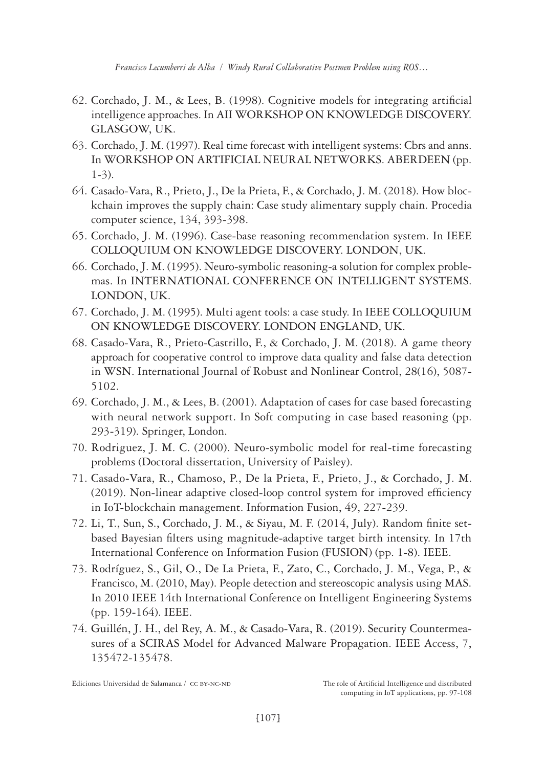- 62. Corchado, J. M., & Lees, B. (1998). Cognitive models for integrating artificial intelligence approaches. In AII WORKSHOP ON KNOWLEDGE DISCOVERY. GLASGOW, UK.
- 63. Corchado, J. M. (1997). Real time forecast with intelligent systems: Cbrs and anns. In WORKSHOP ON ARTIFICIAL NEURAL NETWORKS. ABERDEEN (pp. 1-3).
- 64. Casado-Vara, R., Prieto, J., De la Prieta, F., & Corchado, J. M. (2018). How blockchain improves the supply chain: Case study alimentary supply chain. Procedia computer science, 134, 393-398.
- 65. Corchado, J. M. (1996). Case-base reasoning recommendation system. In IEEE COLLOQUIUM ON KNOWLEDGE DISCOVERY. LONDON, UK.
- 66. Corchado, J. M. (1995). Neuro-symbolic reasoning-a solution for complex problemas. In INTERNATIONAL CONFERENCE ON INTELLIGENT SYSTEMS. LONDON, UK.
- 67. Corchado, J. M. (1995). Multi agent tools: a case study. In IEEE COLLOQUIUM ON KNOWLEDGE DISCOVERY. LONDON ENGLAND, UK.
- 68. Casado‐Vara, R., Prieto‐Castrillo, F., & Corchado, J. M. (2018). A game theory approach for cooperative control to improve data quality and false data detection in WSN. International Journal of Robust and Nonlinear Control, 28(16), 5087- 5102.
- 69. Corchado, J. M., & Lees, B. (2001). Adaptation of cases for case based forecasting with neural network support. In Soft computing in case based reasoning (pp. 293-319). Springer, London.
- 70. Rodriguez, J. M. C. (2000). Neuro-symbolic model for real-time forecasting problems (Doctoral dissertation, University of Paisley).
- 71. Casado-Vara, R., Chamoso, P., De la Prieta, F., Prieto, J., & Corchado, J. M. (2019). Non-linear adaptive closed-loop control system for improved efficiency in IoT-blockchain management. Information Fusion, 49, 227-239.
- 72. Li, T., Sun, S., Corchado, J. M., & Siyau, M. F. (2014, July). Random finite setbased Bayesian filters using magnitude-adaptive target birth intensity. In 17th International Conference on Information Fusion (FUSION) (pp. 1-8). IEEE.
- 73. Rodríguez, S., Gil, O., De La Prieta, F., Zato, C., Corchado, J. M., Vega, P., & Francisco, M. (2010, May). People detection and stereoscopic analysis using MAS. In 2010 IEEE 14th International Conference on Intelligent Engineering Systems (pp. 159-164). IEEE.
- 74. Guillén, J. H., del Rey, A. M., & Casado-Vara, R. (2019). Security Countermeasures of a SCIRAS Model for Advanced Malware Propagation. IEEE Access, 7, 135472-135478.